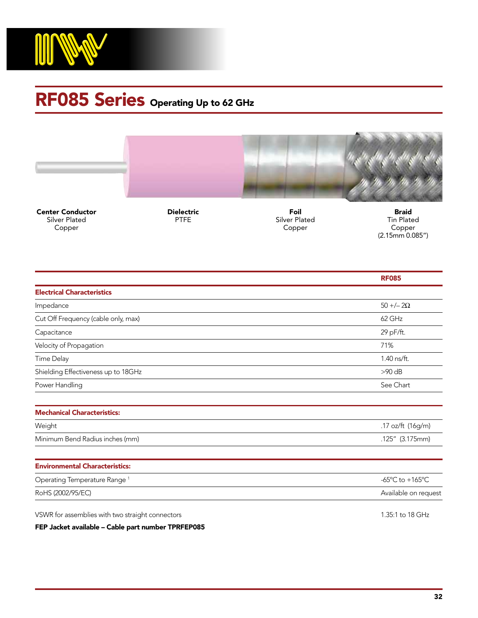

## RF085 Series Operating Up to 62 GHz



Center Conductor Silver Plated Copper

Dielectric PTFE

Foil Silver Plated Copper

Braid Tin Plated Copper (2.15mm 0.085")

|                                          | <b>RF085</b>         |
|------------------------------------------|----------------------|
| <b>Electrical Characteristics</b>        |                      |
| Impedance                                | $50 + (-20)$         |
| Cut Off Frequency (cable only, max)      | 62 GHz               |
| Capacitance                              | 29 pF/ft.            |
| Velocity of Propagation                  | 71%                  |
| Time Delay                               | 1.40 ns/ft.          |
| Shielding Effectiveness up to 18GHz      | $>90$ dB             |
| Power Handling                           | See Chart            |
|                                          |                      |
| <b>Mechanical Characteristics:</b>       |                      |
| Weight                                   | .17 oz/ft (16g/m)    |
| Minimum Bend Radius inches (mm)          | $.125''$ (3.175mm)   |
|                                          |                      |
| <b>Environmental Characteristics:</b>    |                      |
| Operating Temperature Range <sup>1</sup> | -65°C to +165°C      |
| RoHS (2002/95/EC)                        | Available on request |
|                                          |                      |

VSWR for assemblies with two straight connectors and the straight connectors 1.35:1 to 18 GHz

FEP Jacket available – Cable part number TPRFEP085